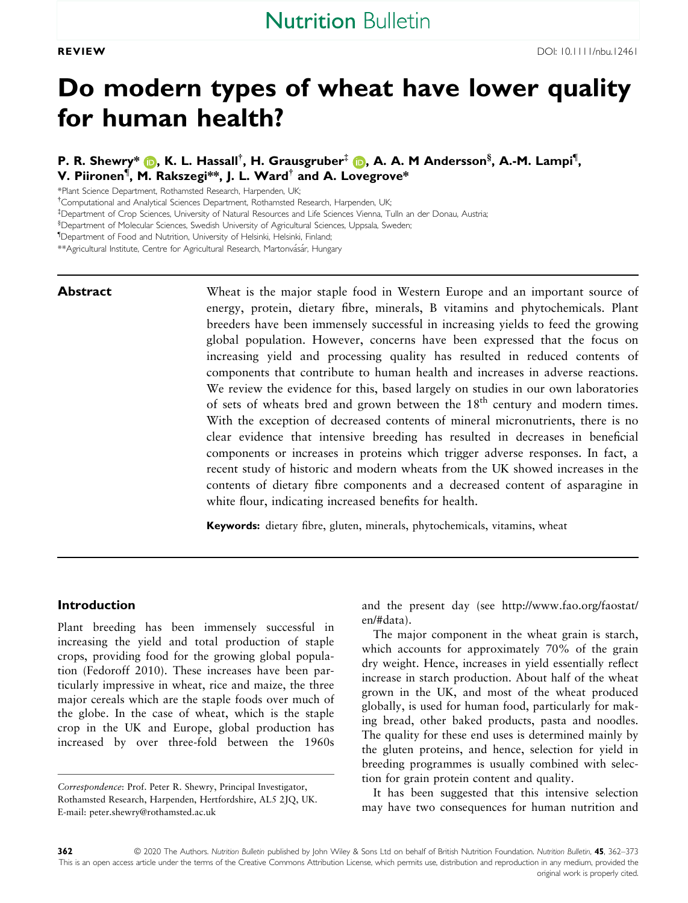# Do modern types of wheat have lower quality for human health?

P. R. Shewry\* (D, K. L. Hassall<sup>†</sup>, H. Grausgruber<sup>‡</sup> (D, A. A. M Andersson<sup>§</sup>, A.-M. Lampi<sup>¶</sup>, V. Piironen<sup>¶</sup>, M. Rakszegi\*\*, J. L. Ward<sup>†</sup> and A. Lovegrove\*

\*Plant Science Department, Rothamsted Research, Harpenden, UK;

<sup>†</sup>Computational and Analytical Sciences Department, Rothamsted Research, Harpenden, UK;

‡ Department of Crop Sciences, University of Natural Resources and Life Sciences Vienna, Tulln an der Donau, Austria;

§ Department of Molecular Sciences, Swedish University of Agricultural Sciences, Uppsala, Sweden;

¶ Department of Food and Nutrition, University of Helsinki, Helsinki, Finland;

\*\*Agricultural Institute, Centre for Agricultural Research, Martonvásár, Hungary

**Abstract** Wheat is the major staple food in Western Europe and an important source of energy, protein, dietary fibre, minerals, B vitamins and phytochemicals. Plant breeders have been immensely successful in increasing yields to feed the growing global population. However, concerns have been expressed that the focus on increasing yield and processing quality has resulted in reduced contents of components that contribute to human health and increases in adverse reactions. We review the evidence for this, based largely on studies in our own laboratories of sets of wheats bred and grown between the 18<sup>th</sup> century and modern times. With the exception of decreased contents of mineral micronutrients, there is no clear evidence that intensive breeding has resulted in decreases in beneficial components or increases in proteins which trigger adverse responses. In fact, a recent study of historic and modern wheats from the UK showed increases in the contents of dietary fibre components and a decreased content of asparagine in white flour, indicating increased benefits for health.

Keywords: dietary fibre, gluten, minerals, phytochemicals, vitamins, wheat

#### Introduction

Plant breeding has been immensely successful in increasing the yield and total production of staple crops, providing food for the growing global population (Fedoroff 2010). These increases have been particularly impressive in wheat, rice and maize, the three major cereals which are the staple foods over much of the globe. In the case of wheat, which is the staple crop in the UK and Europe, global production has increased by over three-fold between the 1960s

and the present day (see [http://www.fao.org/faostat/](http://www.fao.org/faostat/en/#data) [en/#data](http://www.fao.org/faostat/en/#data)).

The major component in the wheat grain is starch, which accounts for approximately 70% of the grain dry weight. Hence, increases in yield essentially reflect increase in starch production. About half of the wheat grown in the UK, and most of the wheat produced globally, is used for human food, particularly for making bread, other baked products, pasta and noodles. The quality for these end uses is determined mainly by the gluten proteins, and hence, selection for yield in breeding programmes is usually combined with selection for grain protein content and quality.

It has been suggested that this intensive selection may have two consequences for human nutrition and

Correspondence: Prof. Peter R. Shewry, Principal Investigator, Rothamsted Research, Harpenden, Hertfordshire, AL5 2JQ, UK. E-mail: [peter.shewry@rothamsted.ac.uk](mailto:)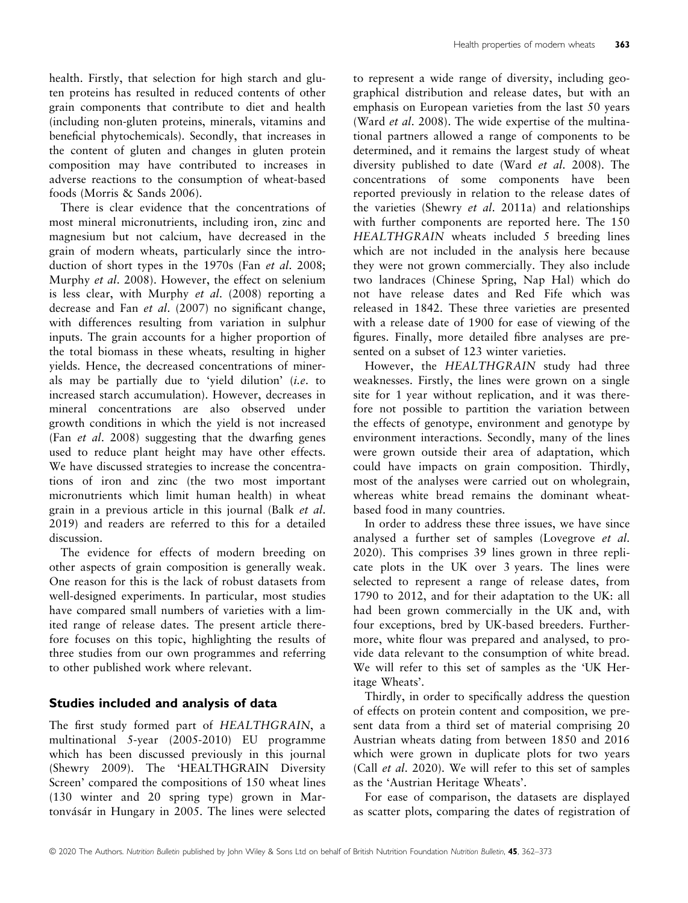health. Firstly, that selection for high starch and gluten proteins has resulted in reduced contents of other grain components that contribute to diet and health (including non-gluten proteins, minerals, vitamins and beneficial phytochemicals). Secondly, that increases in the content of gluten and changes in gluten protein composition may have contributed to increases in adverse reactions to the consumption of wheat-based foods (Morris & Sands 2006).

There is clear evidence that the concentrations of most mineral micronutrients, including iron, zinc and magnesium but not calcium, have decreased in the grain of modern wheats, particularly since the introduction of short types in the 1970s (Fan et al. 2008; Murphy et al. 2008). However, the effect on selenium is less clear, with Murphy et al. (2008) reporting a decrease and Fan et al. (2007) no significant change, with differences resulting from variation in sulphur inputs. The grain accounts for a higher proportion of the total biomass in these wheats, resulting in higher yields. Hence, the decreased concentrations of minerals may be partially due to 'yield dilution' (i.e. to increased starch accumulation). However, decreases in mineral concentrations are also observed under growth conditions in which the yield is not increased (Fan et al. 2008) suggesting that the dwarfing genes used to reduce plant height may have other effects. We have discussed strategies to increase the concentrations of iron and zinc (the two most important micronutrients which limit human health) in wheat grain in a previous article in this journal (Balk et al. 2019) and readers are referred to this for a detailed discussion.

The evidence for effects of modern breeding on other aspects of grain composition is generally weak. One reason for this is the lack of robust datasets from well-designed experiments. In particular, most studies have compared small numbers of varieties with a limited range of release dates. The present article therefore focuses on this topic, highlighting the results of three studies from our own programmes and referring to other published work where relevant.

# Studies included and analysis of data

The first study formed part of HEALTHGRAIN, a multinational 5-year (2005-2010) EU programme which has been discussed previously in this journal (Shewry 2009). The 'HEALTHGRAIN Diversity Screen' compared the compositions of 150 wheat lines (130 winter and 20 spring type) grown in Martonvásár in Hungary in 2005. The lines were selected

to represent a wide range of diversity, including geographical distribution and release dates, but with an emphasis on European varieties from the last 50 years (Ward et al. 2008). The wide expertise of the multinational partners allowed a range of components to be determined, and it remains the largest study of wheat diversity published to date (Ward et al. 2008). The concentrations of some components have been reported previously in relation to the release dates of the varieties (Shewry et al. 2011a) and relationships with further components are reported here. The 150 HEALTHGRAIN wheats included 5 breeding lines which are not included in the analysis here because they were not grown commercially. They also include two landraces (Chinese Spring, Nap Hal) which do not have release dates and Red Fife which was released in 1842. These three varieties are presented with a release date of 1900 for ease of viewing of the figures. Finally, more detailed fibre analyses are presented on a subset of 123 winter varieties.

However, the HEALTHGRAIN study had three weaknesses. Firstly, the lines were grown on a single site for 1 year without replication, and it was therefore not possible to partition the variation between the effects of genotype, environment and genotype by environment interactions. Secondly, many of the lines were grown outside their area of adaptation, which could have impacts on grain composition. Thirdly, most of the analyses were carried out on wholegrain, whereas white bread remains the dominant wheatbased food in many countries.

In order to address these three issues, we have since analysed a further set of samples (Lovegrove et al. 2020). This comprises 39 lines grown in three replicate plots in the UK over 3 years. The lines were selected to represent a range of release dates, from 1790 to 2012, and for their adaptation to the UK: all had been grown commercially in the UK and, with four exceptions, bred by UK-based breeders. Furthermore, white flour was prepared and analysed, to provide data relevant to the consumption of white bread. We will refer to this set of samples as the 'UK Heritage Wheats'.

Thirdly, in order to specifically address the question of effects on protein content and composition, we present data from a third set of material comprising 20 Austrian wheats dating from between 1850 and 2016 which were grown in duplicate plots for two years (Call et al. 2020). We will refer to this set of samples as the 'Austrian Heritage Wheats'.

For ease of comparison, the datasets are displayed as scatter plots, comparing the dates of registration of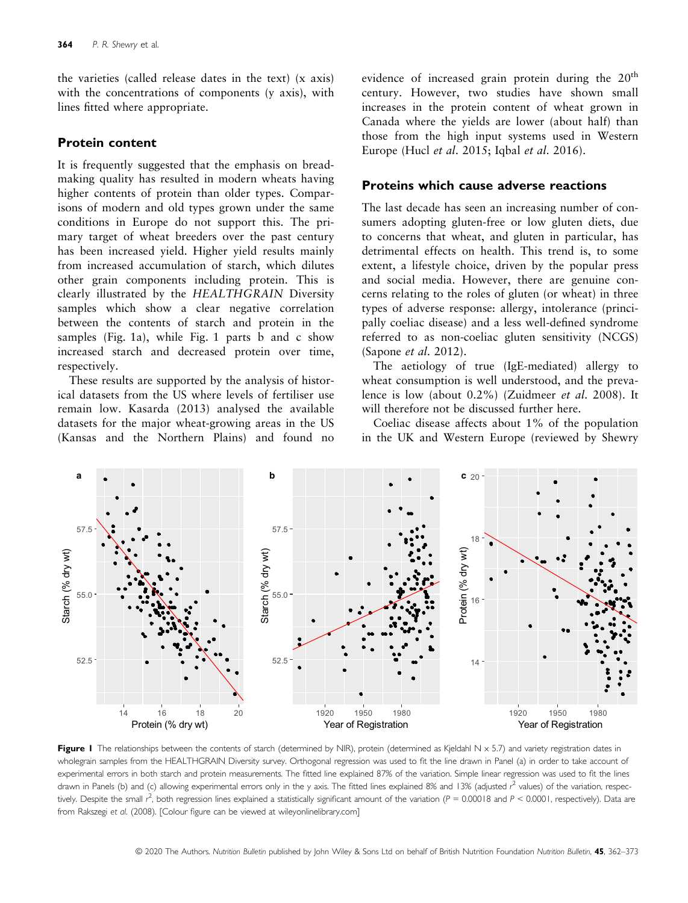the varieties (called release dates in the text) (x axis) with the concentrations of components (y axis), with lines fitted where appropriate.

#### Protein content

It is frequently suggested that the emphasis on breadmaking quality has resulted in modern wheats having higher contents of protein than older types. Comparisons of modern and old types grown under the same conditions in Europe do not support this. The primary target of wheat breeders over the past century has been increased yield. Higher yield results mainly from increased accumulation of starch, which dilutes other grain components including protein. This is clearly illustrated by the HEALTHGRAIN Diversity samples which show a clear negative correlation between the contents of starch and protein in the samples (Fig. 1a), while Fig. 1 parts b and c show increased starch and decreased protein over time, respectively.

These results are supported by the analysis of historical datasets from the US where levels of fertiliser use remain low. Kasarda (2013) analysed the available datasets for the major wheat-growing areas in the US (Kansas and the Northern Plains) and found no evidence of increased grain protein during the 20<sup>th</sup> century. However, two studies have shown small increases in the protein content of wheat grown in Canada where the yields are lower (about half) than those from the high input systems used in Western Europe (Hucl et al. 2015; Iqbal et al. 2016).

## Proteins which cause adverse reactions

The last decade has seen an increasing number of consumers adopting gluten-free or low gluten diets, due to concerns that wheat, and gluten in particular, has detrimental effects on health. This trend is, to some extent, a lifestyle choice, driven by the popular press and social media. However, there are genuine concerns relating to the roles of gluten (or wheat) in three types of adverse response: allergy, intolerance (principally coeliac disease) and a less well-defined syndrome referred to as non-coeliac gluten sensitivity (NCGS) (Sapone et al. 2012).

The aetiology of true (IgE-mediated) allergy to wheat consumption is well understood, and the prevalence is low (about 0.2%) (Zuidmeer et al. 2008). It will therefore not be discussed further here.

Coeliac disease affects about 1% of the population in the UK and Western Europe (reviewed by Shewry



Figure I The relationships between the contents of starch (determined by NIR), protein (determined as Kjeldahl N  $\times$  5.7) and variety registration dates in wholegrain samples from the HEALTHGRAIN Diversity survey. Orthogonal regression was used to fit the line drawn in Panel (a) in order to take account of experimental errors in both starch and protein measurements. The fitted line explained 87% of the variation. Simple linear regression was used to fit the lines drawn in Panels (b) and (c) allowing experimental errors only in the y axis. The fitted lines explained 8% and 13% (adjusted r<sup>2</sup> values) of the variation, respectively. Despite the small  $r^2$ , both regression lines explained a statistically significant amount of the variation ( $P = 0.00018$  and  $P < 0.0001$ , respectively). Data are from Rakszegi et al. (2008). [Colour figure can be viewed at [wileyonlinelibrary.com](www.wileyonlinelibrary.com)]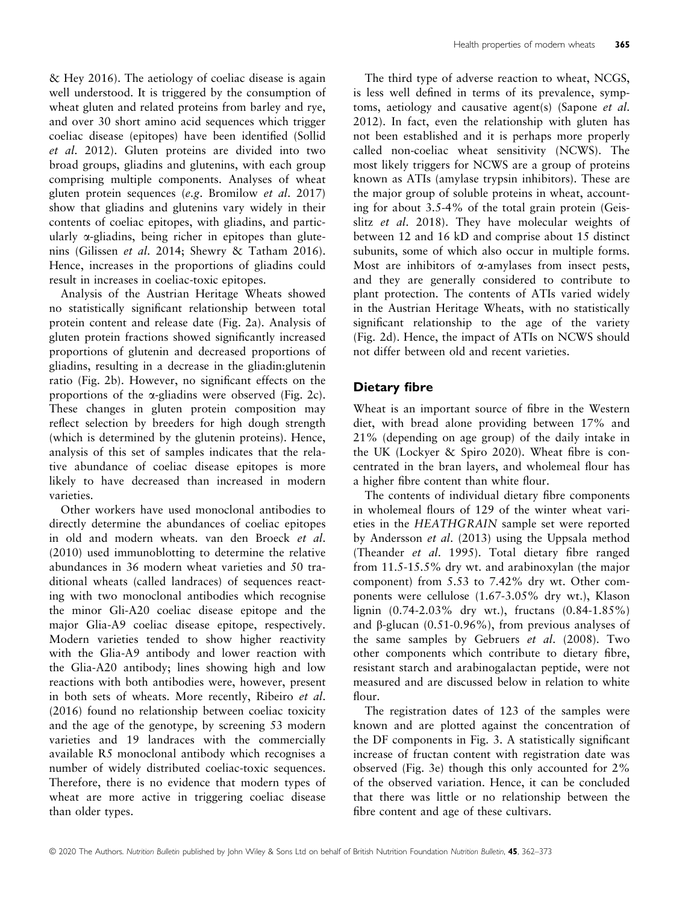& Hey 2016). The aetiology of coeliac disease is again well understood. It is triggered by the consumption of wheat gluten and related proteins from barley and rye, and over 30 short amino acid sequences which trigger coeliac disease (epitopes) have been identified (Sollid et al. 2012). Gluten proteins are divided into two broad groups, gliadins and glutenins, with each group comprising multiple components. Analyses of wheat gluten protein sequences (e.g. Bromilow et al. 2017) show that gliadins and glutenins vary widely in their contents of coeliac epitopes, with gliadins, and particularly a-gliadins, being richer in epitopes than glutenins (Gilissen et al. 2014; Shewry & Tatham 2016). Hence, increases in the proportions of gliadins could result in increases in coeliac-toxic epitopes.

Analysis of the Austrian Heritage Wheats showed no statistically significant relationship between total protein content and release date (Fig. 2a). Analysis of gluten protein fractions showed significantly increased proportions of glutenin and decreased proportions of gliadins, resulting in a decrease in the gliadin:glutenin ratio (Fig. 2b). However, no significant effects on the proportions of the a-gliadins were observed (Fig. 2c). These changes in gluten protein composition may reflect selection by breeders for high dough strength (which is determined by the glutenin proteins). Hence, analysis of this set of samples indicates that the relative abundance of coeliac disease epitopes is more likely to have decreased than increased in modern varieties.

Other workers have used monoclonal antibodies to directly determine the abundances of coeliac epitopes in old and modern wheats. van den Broeck et al. (2010) used immunoblotting to determine the relative abundances in 36 modern wheat varieties and 50 traditional wheats (called landraces) of sequences reacting with two monoclonal antibodies which recognise the minor Gli-A20 coeliac disease epitope and the major Glia-A9 coeliac disease epitope, respectively. Modern varieties tended to show higher reactivity with the Glia-A9 antibody and lower reaction with the Glia-A20 antibody; lines showing high and low reactions with both antibodies were, however, present in both sets of wheats. More recently, Ribeiro et al. (2016) found no relationship between coeliac toxicity and the age of the genotype, by screening 53 modern varieties and 19 landraces with the commercially available R5 monoclonal antibody which recognises a number of widely distributed coeliac-toxic sequences. Therefore, there is no evidence that modern types of wheat are more active in triggering coeliac disease than older types.

The third type of adverse reaction to wheat, NCGS, is less well defined in terms of its prevalence, symptoms, aetiology and causative agent(s) (Sapone et al. 2012). In fact, even the relationship with gluten has not been established and it is perhaps more properly called non-coeliac wheat sensitivity (NCWS). The most likely triggers for NCWS are a group of proteins known as ATIs (amylase trypsin inhibitors). These are the major group of soluble proteins in wheat, accounting for about 3.5-4% of the total grain protein (Geisslitz et al. 2018). They have molecular weights of between 12 and 16 kD and comprise about 15 distinct subunits, some of which also occur in multiple forms. Most are inhibitors of  $\alpha$ -amylases from insect pests, and they are generally considered to contribute to plant protection. The contents of ATIs varied widely in the Austrian Heritage Wheats, with no statistically significant relationship to the age of the variety (Fig. 2d). Hence, the impact of ATIs on NCWS should not differ between old and recent varieties.

## Dietary fibre

Wheat is an important source of fibre in the Western diet, with bread alone providing between 17% and 21% (depending on age group) of the daily intake in the UK (Lockyer & Spiro 2020). Wheat fibre is concentrated in the bran layers, and wholemeal flour has a higher fibre content than white flour.

The contents of individual dietary fibre components in wholemeal flours of 129 of the winter wheat varieties in the HEATHGRAIN sample set were reported by Andersson et al. (2013) using the Uppsala method (Theander et al. 1995). Total dietary fibre ranged from 11.5-15.5% dry wt. and arabinoxylan (the major component) from 5.53 to 7.42% dry wt. Other components were cellulose (1.67-3.05% dry wt.), Klason lignin (0.74-2.03% dry wt.), fructans (0.84-1.85%) and  $\beta$ -glucan (0.51-0.96%), from previous analyses of the same samples by Gebruers et al. (2008). Two other components which contribute to dietary fibre, resistant starch and arabinogalactan peptide, were not measured and are discussed below in relation to white flour.

The registration dates of 123 of the samples were known and are plotted against the concentration of the DF components in Fig. 3. A statistically significant increase of fructan content with registration date was observed (Fig. 3e) though this only accounted for 2% of the observed variation. Hence, it can be concluded that there was little or no relationship between the fibre content and age of these cultivars.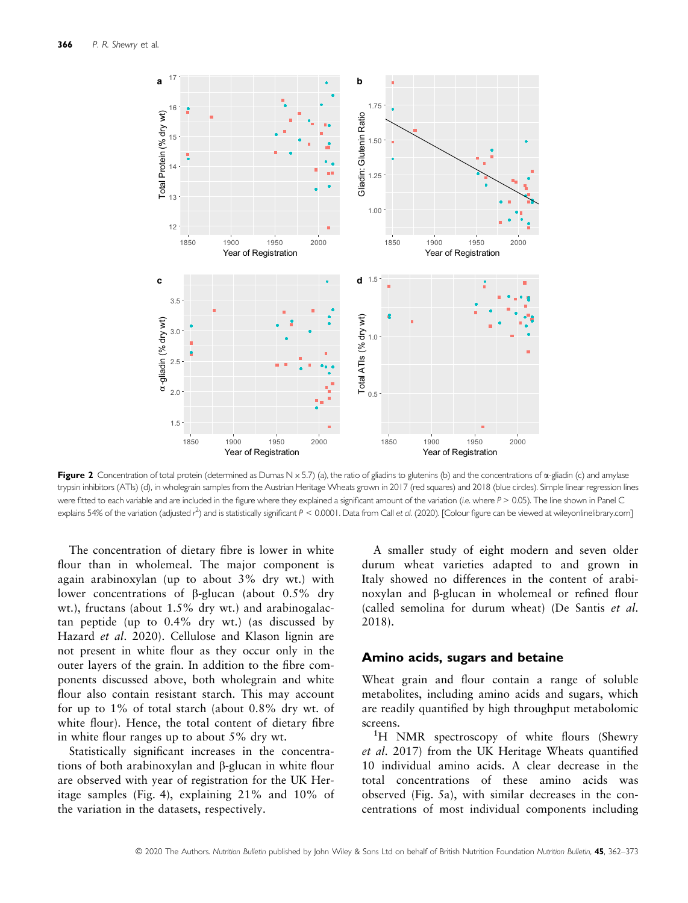

Figure 2 Concentration of total protein (determined as Dumas N  $\times$  5.7) (a), the ratio of gliadins to glutenins (b) and the concentrations of  $\alpha$ -gliadin (c) and amylase trypsin inhibitors (ATIs) (d), in wholegrain samples from the Austrian Heritage Wheats grown in 2017 (red squares) and 2018 (blue circles). Simple linear regression lines were fitted to each variable and are included in the figure where they explained a significant amount of the variation (i.e. where P > 0.05). The line shown in Panel C explains 54% of the variation (adjusted  $r^2$ ) and is statistically significant  $P < 0.0001$ . Data from Call et al. (2020). [Colour figure can be viewed at [wileyonlinelibrary.com\]](www.wileyonlinelibrary.com)

The concentration of dietary fibre is lower in white flour than in wholemeal. The major component is again arabinoxylan (up to about 3% dry wt.) with lower concentrations of  $\beta$ -glucan (about 0.5% dry wt.), fructans (about 1.5% dry wt.) and arabinogalactan peptide (up to 0.4% dry wt.) (as discussed by Hazard et al. 2020). Cellulose and Klason lignin are not present in white flour as they occur only in the outer layers of the grain. In addition to the fibre components discussed above, both wholegrain and white flour also contain resistant starch. This may account for up to 1% of total starch (about 0.8% dry wt. of white flour). Hence, the total content of dietary fibre in white flour ranges up to about 5% dry wt.

Statistically significant increases in the concentrations of both arabinoxylan and  $\beta$ -glucan in white flour are observed with year of registration for the UK Heritage samples (Fig. 4), explaining 21% and 10% of the variation in the datasets, respectively.

A smaller study of eight modern and seven older durum wheat varieties adapted to and grown in Italy showed no differences in the content of arabinoxylan and β-glucan in wholemeal or refined flour (called semolina for durum wheat) (De Santis et al. 2018).

### Amino acids, sugars and betaine

Wheat grain and flour contain a range of soluble metabolites, including amino acids and sugars, which are readily quantified by high throughput metabolomic screens.

<sup>1</sup>H NMR spectroscopy of white flours (Shewry et al. 2017) from the UK Heritage Wheats quantified 10 individual amino acids. A clear decrease in the total concentrations of these amino acids was observed (Fig. 5a), with similar decreases in the concentrations of most individual components including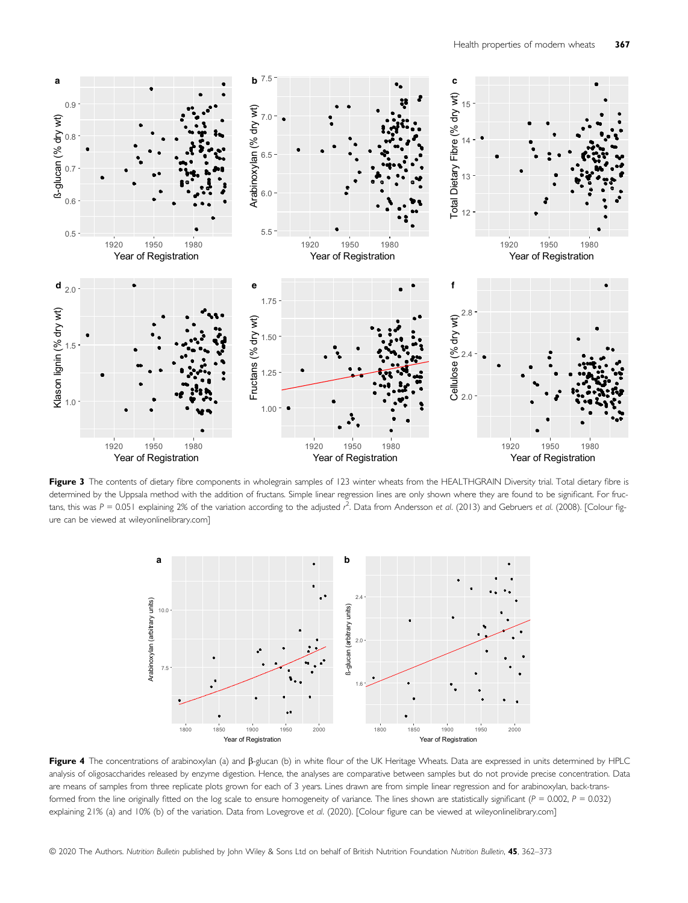

Figure 3 The contents of dietary fibre components in wholegrain samples of 123 winter wheats from the HEALTHGRAIN Diversity trial. Total dietary fibre is determined by the Uppsala method with the addition of fructans. Simple linear regression lines are only shown where they are found to be significant. For fructans, this was P = 0.051 explaining 2% of the variation according to the adjusted  $r^2$ . Data from Andersson et al. (2013) and Gebruers et al. (2008). [Colour figure can be viewed at [wileyonlinelibrary.com\]](www.wileyonlinelibrary.com)



Figure 4 The concentrations of arabinoxylan (a) and  $\beta$ -glucan (b) in white flour of the UK Heritage Wheats. Data are expressed in units determined by HPLC analysis of oligosaccharides released by enzyme digestion. Hence, the analyses are comparative between samples but do not provide precise concentration. Data are means of samples from three replicate plots grown for each of 3 years. Lines drawn are from simple linear regression and for arabinoxylan, back-transformed from the line originally fitted on the log scale to ensure homogeneity of variance. The lines shown are statistically significant ( $P = 0.002$ ,  $P = 0.032$ ) explaining 21% (a) and 10% (b) of the variation. Data from Lovegrove et al. (2020). [Colour figure can be viewed at [wileyonlinelibrary.com](www.wileyonlinelibrary.com)]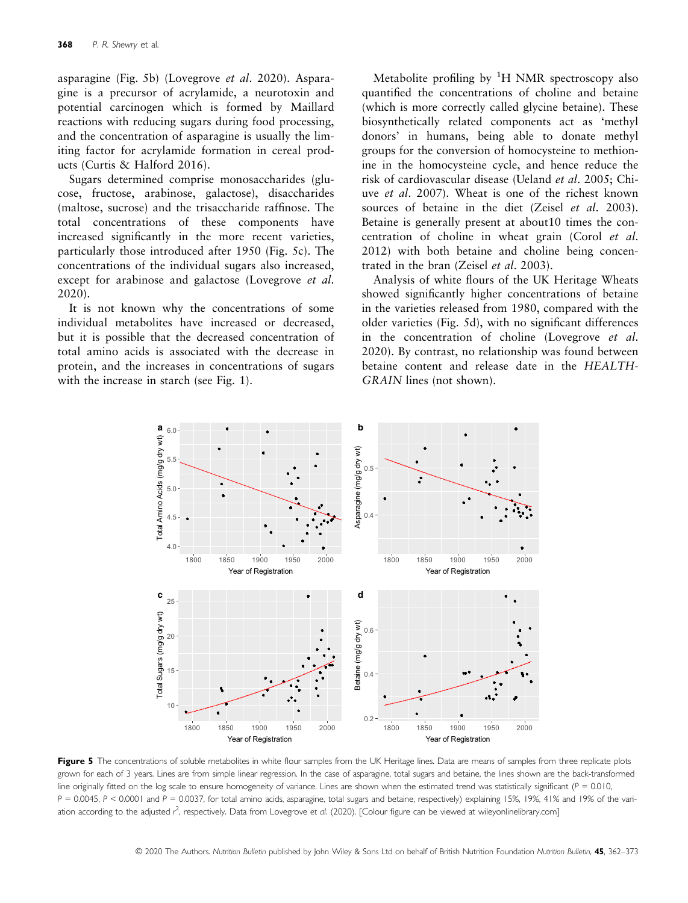asparagine (Fig. 5b) (Lovegrove et al. 2020). Asparagine is a precursor of acrylamide, a neurotoxin and potential carcinogen which is formed by Maillard reactions with reducing sugars during food processing, and the concentration of asparagine is usually the limiting factor for acrylamide formation in cereal products (Curtis & Halford 2016).

Sugars determined comprise monosaccharides (glucose, fructose, arabinose, galactose), disaccharides (maltose, sucrose) and the trisaccharide raffinose. The total concentrations of these components have increased significantly in the more recent varieties, particularly those introduced after 1950 (Fig. 5c). The concentrations of the individual sugars also increased, except for arabinose and galactose (Lovegrove *et al.* 2020).

It is not known why the concentrations of some individual metabolites have increased or decreased, but it is possible that the decreased concentration of total amino acids is associated with the decrease in protein, and the increases in concentrations of sugars with the increase in starch (see Fig. 1).

Metabolite profiling by  ${}^{1}H$  NMR spectroscopy also quantified the concentrations of choline and betaine (which is more correctly called glycine betaine). These biosynthetically related components act as 'methyl donors' in humans, being able to donate methyl groups for the conversion of homocysteine to methionine in the homocysteine cycle, and hence reduce the risk of cardiovascular disease (Ueland et al. 2005; Chiuve et al. 2007). Wheat is one of the richest known sources of betaine in the diet (Zeisel et al. 2003). Betaine is generally present at about10 times the concentration of choline in wheat grain (Corol et al. 2012) with both betaine and choline being concentrated in the bran (Zeisel et al. 2003).

Analysis of white flours of the UK Heritage Wheats showed significantly higher concentrations of betaine in the varieties released from 1980, compared with the older varieties (Fig. 5d), with no significant differences in the concentration of choline (Lovegrove et al. 2020). By contrast, no relationship was found between betaine content and release date in the HEALTH-GRAIN lines (not shown).



Figure 5 The concentrations of soluble metabolites in white flour samples from the UK Heritage lines. Data are means of samples from three replicate plots grown for each of 3 years. Lines are from simple linear regression. In the case of asparagine, total sugars and betaine, the lines shown are the back-transformed line originally fitted on the log scale to ensure homogeneity of variance. Lines are shown when the estimated trend was statistically significant ( $P = 0.010$ ,  $P = 0.0045$ , P < 0.0001 and P = 0.0037, for total amino acids, asparagine, total sugars and betaine, respectively) explaining 15%, 19%, 41% and 19% of the variation according to the adjusted r<sup>2</sup>, respectively. Data from Lovegrove et al. (2020). [Colour figure can be viewed at [wileyonlinelibrary.com](www.wileyonlinelibrary.com)]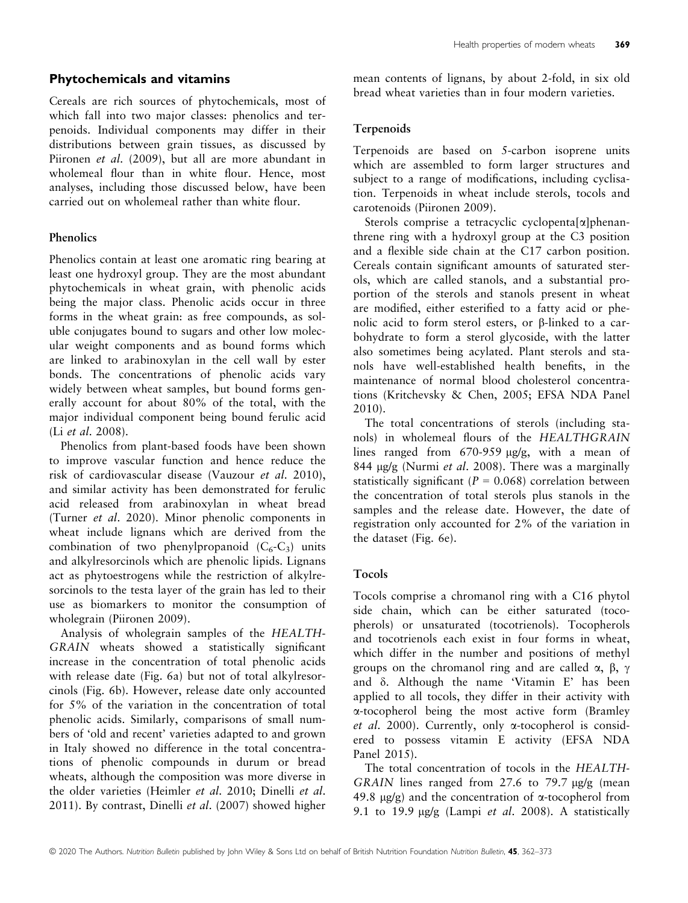# Phytochemicals and vitamins

Cereals are rich sources of phytochemicals, most of which fall into two major classes: phenolics and terpenoids. Individual components may differ in their distributions between grain tissues, as discussed by Piironen et al. (2009), but all are more abundant in wholemeal flour than in white flour. Hence, most analyses, including those discussed below, have been carried out on wholemeal rather than white flour.

# Phenolics

Phenolics contain at least one aromatic ring bearing at least one hydroxyl group. They are the most abundant phytochemicals in wheat grain, with phenolic acids being the major class. Phenolic acids occur in three forms in the wheat grain: as free compounds, as soluble conjugates bound to sugars and other low molecular weight components and as bound forms which are linked to arabinoxylan in the cell wall by ester bonds. The concentrations of phenolic acids vary widely between wheat samples, but bound forms generally account for about 80% of the total, with the major individual component being bound ferulic acid (Li et al. 2008).

Phenolics from plant-based foods have been shown to improve vascular function and hence reduce the risk of cardiovascular disease (Vauzour et al. 2010), and similar activity has been demonstrated for ferulic acid released from arabinoxylan in wheat bread (Turner et al. 2020). Minor phenolic components in wheat include lignans which are derived from the combination of two phenylpropanoid  $(C_6-C_3)$  units and alkylresorcinols which are phenolic lipids. Lignans act as phytoestrogens while the restriction of alkylresorcinols to the testa layer of the grain has led to their use as biomarkers to monitor the consumption of wholegrain (Piironen 2009).

Analysis of wholegrain samples of the HEALTH-GRAIN wheats showed a statistically significant increase in the concentration of total phenolic acids with release date (Fig. 6a) but not of total alkylresorcinols (Fig. 6b). However, release date only accounted for 5% of the variation in the concentration of total phenolic acids. Similarly, comparisons of small numbers of 'old and recent' varieties adapted to and grown in Italy showed no difference in the total concentrations of phenolic compounds in durum or bread wheats, although the composition was more diverse in the older varieties (Heimler et al. 2010; Dinelli et al. 2011). By contrast, Dinelli et al. (2007) showed higher mean contents of lignans, by about 2-fold, in six old bread wheat varieties than in four modern varieties.

# **Terpenoids**

Terpenoids are based on 5-carbon isoprene units which are assembled to form larger structures and subject to a range of modifications, including cyclisation. Terpenoids in wheat include sterols, tocols and carotenoids (Piironen 2009).

Sterols comprise a tetracyclic cyclopenta[a]phenanthrene ring with a hydroxyl group at the C3 position and a flexible side chain at the C17 carbon position. Cereals contain significant amounts of saturated sterols, which are called stanols, and a substantial proportion of the sterols and stanols present in wheat are modified, either esterified to a fatty acid or phenolic acid to form sterol esters, or  $\beta$ -linked to a carbohydrate to form a sterol glycoside, with the latter also sometimes being acylated. Plant sterols and stanols have well-established health benefits, in the maintenance of normal blood cholesterol concentrations (Kritchevsky & Chen, 2005; EFSA NDA Panel 2010).

The total concentrations of sterols (including stanols) in wholemeal flours of the HEALTHGRAIN lines ranged from  $670-959 \mu g/g$ , with a mean of 844  $\mu$ g/g (Nurmi *et al.* 2008). There was a marginally statistically significant ( $P = 0.068$ ) correlation between the concentration of total sterols plus stanols in the samples and the release date. However, the date of registration only accounted for 2% of the variation in the dataset (Fig. 6e).

## Tocols

Tocols comprise a chromanol ring with a C16 phytol side chain, which can be either saturated (tocopherols) or unsaturated (tocotrienols). Tocopherols and tocotrienols each exist in four forms in wheat, which differ in the number and positions of methyl groups on the chromanol ring and are called  $\alpha$ ,  $\beta$ ,  $\gamma$ and  $\delta$ . Although the name 'Vitamin E' has been applied to all tocols, they differ in their activity with a-tocopherol being the most active form (Bramley et al. 2000). Currently, only  $\alpha$ -tocopherol is considered to possess vitamin E activity (EFSA NDA Panel 2015).

The total concentration of tocols in the HEALTH-GRAIN lines ranged from 27.6 to 79.7  $\mu$ g/g (mean 49.8  $\mu$ g/g) and the concentration of  $\alpha$ -tocopherol from 9.1 to 19.9  $\mu$ g/g (Lampi *et al.* 2008). A statistically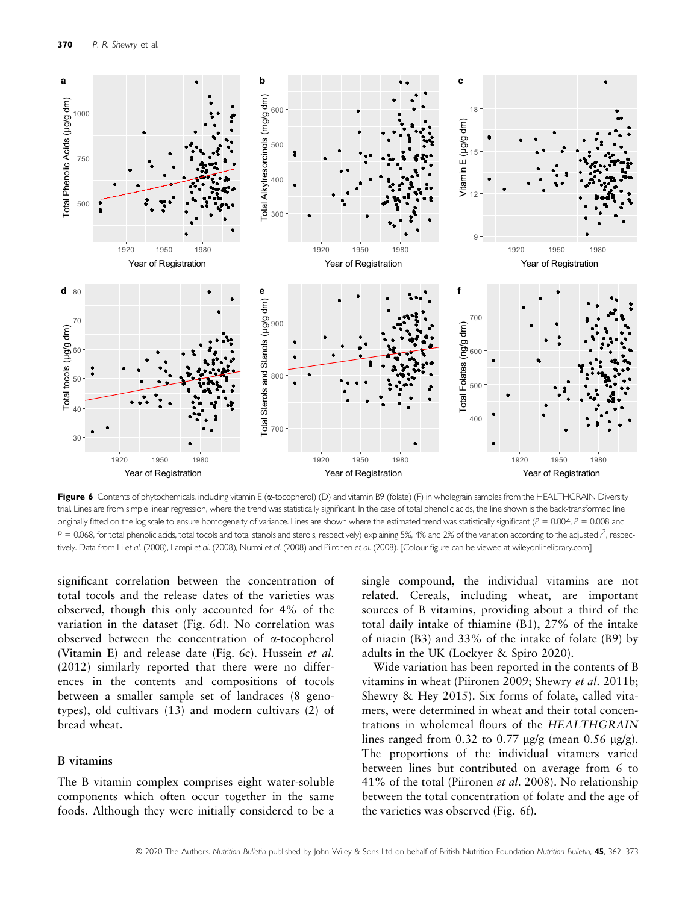

Figure 6 Contents of phytochemicals, including vitamin E (a-tocopherol) (D) and vitamin B9 (folate) (F) in wholegrain samples from the HEALTHGRAIN Diversity trial. Lines are from simple linear regression, where the trend was statistically significant. In the case of total phenolic acids, the line shown is the back-transformed line originally fitted on the log scale to ensure homogeneity of variance. Lines are shown where the estimated trend was statistically significant ( $P = 0.004$ ,  $P = 0.008$  and  $P = 0.068$ , for total phenolic acids, total tocols and total stanols and sterols, respectively) explaining 5%, 4% and 2% of the variation according to the adjusted  $r^2$ , respectively. Data from Li et al. (2008), Lampi et al. (2008), Nurmi et al. (2008) and Piironen et al. (2008). [Colour figure can be viewed at [wileyonlinelibrary.com](www.wileyonlinelibrary.com)]

significant correlation between the concentration of total tocols and the release dates of the varieties was observed, though this only accounted for 4% of the variation in the dataset (Fig. 6d). No correlation was observed between the concentration of a-tocopherol (Vitamin E) and release date (Fig. 6c). Hussein et al. (2012) similarly reported that there were no differences in the contents and compositions of tocols between a smaller sample set of landraces (8 genotypes), old cultivars (13) and modern cultivars (2) of bread wheat.

#### B vitamins

The B vitamin complex comprises eight water-soluble components which often occur together in the same foods. Although they were initially considered to be a

single compound, the individual vitamins are not related. Cereals, including wheat, are important sources of B vitamins, providing about a third of the total daily intake of thiamine (B1), 27% of the intake of niacin (B3) and 33% of the intake of folate (B9) by adults in the UK (Lockyer & Spiro 2020).

Wide variation has been reported in the contents of B vitamins in wheat (Piironen 2009; Shewry et al. 2011b; Shewry & Hey 2015). Six forms of folate, called vitamers, were determined in wheat and their total concentrations in wholemeal flours of the HEALTHGRAIN lines ranged from 0.32 to 0.77  $\mu$ g/g (mean 0.56  $\mu$ g/g). The proportions of the individual vitamers varied between lines but contributed on average from 6 to 41% of the total (Piironen et al. 2008). No relationship between the total concentration of folate and the age of the varieties was observed (Fig. 6f).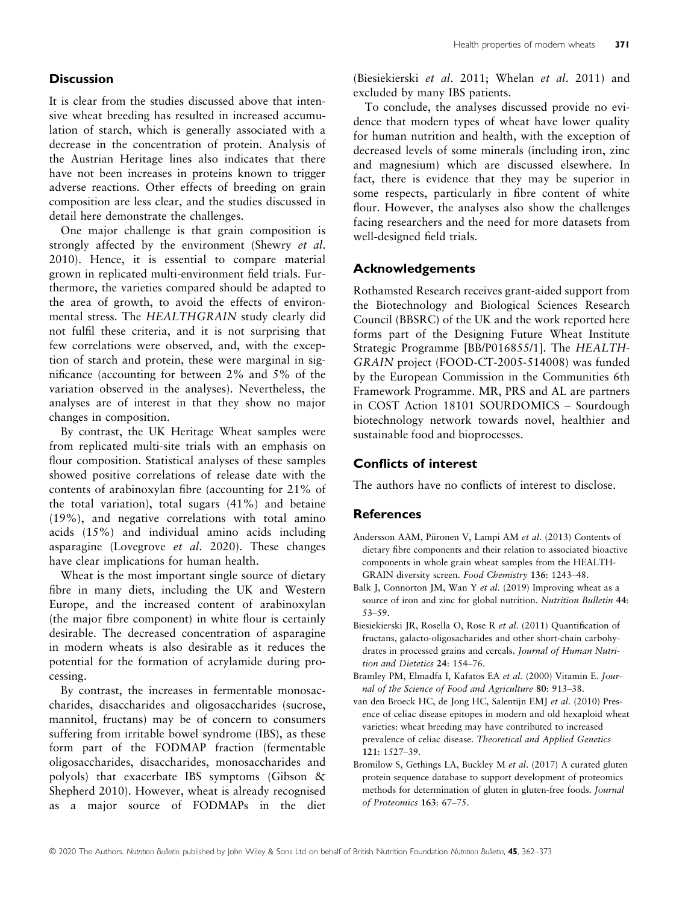## **Discussion**

It is clear from the studies discussed above that intensive wheat breeding has resulted in increased accumulation of starch, which is generally associated with a decrease in the concentration of protein. Analysis of the Austrian Heritage lines also indicates that there have not been increases in proteins known to trigger adverse reactions. Other effects of breeding on grain composition are less clear, and the studies discussed in detail here demonstrate the challenges.

One major challenge is that grain composition is strongly affected by the environment (Shewry et al. 2010). Hence, it is essential to compare material grown in replicated multi-environment field trials. Furthermore, the varieties compared should be adapted to the area of growth, to avoid the effects of environmental stress. The HEALTHGRAIN study clearly did not fulfil these criteria, and it is not surprising that few correlations were observed, and, with the exception of starch and protein, these were marginal in significance (accounting for between 2% and 5% of the variation observed in the analyses). Nevertheless, the analyses are of interest in that they show no major changes in composition.

By contrast, the UK Heritage Wheat samples were from replicated multi-site trials with an emphasis on flour composition. Statistical analyses of these samples showed positive correlations of release date with the contents of arabinoxylan fibre (accounting for 21% of the total variation), total sugars (41%) and betaine (19%), and negative correlations with total amino acids (15%) and individual amino acids including asparagine (Lovegrove et al. 2020). These changes have clear implications for human health.

Wheat is the most important single source of dietary fibre in many diets, including the UK and Western Europe, and the increased content of arabinoxylan (the major fibre component) in white flour is certainly desirable. The decreased concentration of asparagine in modern wheats is also desirable as it reduces the potential for the formation of acrylamide during processing.

By contrast, the increases in fermentable monosaccharides, disaccharides and oligosaccharides (sucrose, mannitol, fructans) may be of concern to consumers suffering from irritable bowel syndrome (IBS), as these form part of the FODMAP fraction (fermentable oligosaccharides, disaccharides, monosaccharides and polyols) that exacerbate IBS symptoms (Gibson & Shepherd 2010). However, wheat is already recognised as a major source of FODMAPs in the diet (Biesiekierski et al. 2011; Whelan et al. 2011) and excluded by many IBS patients.

To conclude, the analyses discussed provide no evidence that modern types of wheat have lower quality for human nutrition and health, with the exception of decreased levels of some minerals (including iron, zinc and magnesium) which are discussed elsewhere. In fact, there is evidence that they may be superior in some respects, particularly in fibre content of white flour. However, the analyses also show the challenges facing researchers and the need for more datasets from well-designed field trials.

# Acknowledgements

Rothamsted Research receives grant-aided support from the Biotechnology and Biological Sciences Research Council (BBSRC) of the UK and the work reported here forms part of the Designing Future Wheat Institute Strategic Programme [BB/P016855/1]. The HEALTH-GRAIN project (FOOD-CT-2005-514008) was funded by the European Commission in the Communities 6th Framework Programme. MR, PRS and AL are partners in COST Action 18101 SOURDOMICS – Sourdough biotechnology network towards novel, healthier and sustainable food and bioprocesses.

# Conflicts of interest

The authors have no conflicts of interest to disclose.

# **References**

- Andersson AAM, Piironen V, Lampi AM et al. (2013) Contents of dietary fibre components and their relation to associated bioactive components in whole grain wheat samples from the HEALTH-GRAIN diversity screen. Food Chemistry 136: 1243–48.
- Balk J, Connorton JM, Wan Y et al. (2019) Improving wheat as a source of iron and zinc for global nutrition. Nutrition Bulletin 44: 53–59.
- Biesiekierski JR, Rosella O, Rose R et al. (2011) Quantification of fructans, galacto-oligosacharides and other short-chain carbohydrates in processed grains and cereals. Journal of Human Nutrition and Dietetics 24: 154–76.
- Bramley PM, Elmadfa I, Kafatos EA et al. (2000) Vitamin E. Journal of the Science of Food and Agriculture 80: 913–38.
- van den Broeck HC, de Jong HC, Salentijn EMJ et al. (2010) Presence of celiac disease epitopes in modern and old hexaploid wheat varieties: wheat breeding may have contributed to increased prevalence of celiac disease. Theoretical and Applied Genetics 121: 1527–39.
- Bromilow S, Gethings LA, Buckley M et al. (2017) A curated gluten protein sequence database to support development of proteomics methods for determination of gluten in gluten-free foods. Journal of Proteomics 163: 67–75.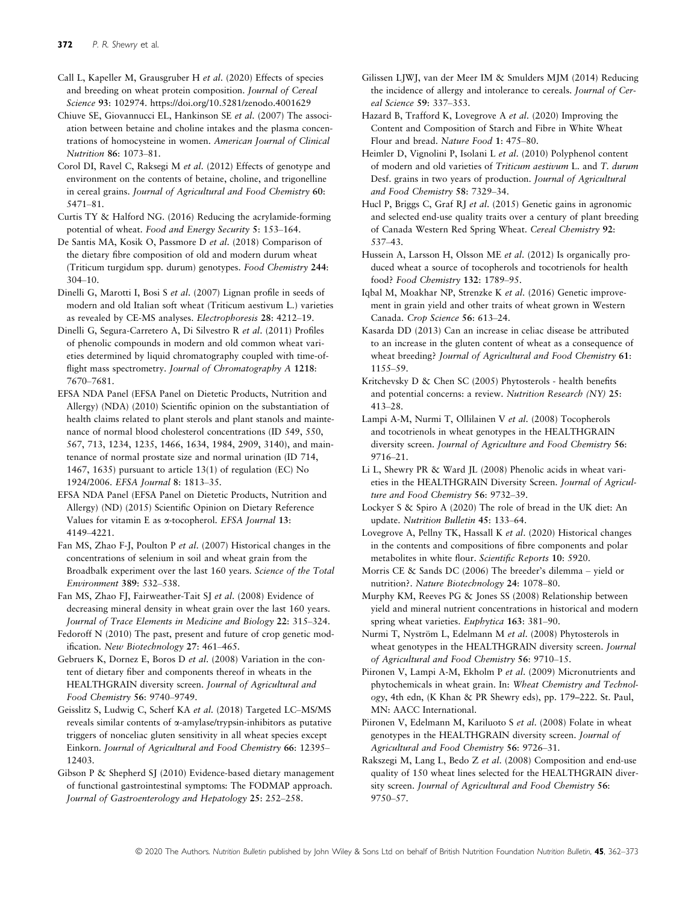Call L, Kapeller M, Grausgruber H et al. (2020) Effects of species and breeding on wheat protein composition. Journal of Cereal Science 93: 102974. [https://doi.org/10.5281/zenodo.4001629](https://doi.org/10.1016/j.jcs.2020.102974)

Chiuve SE, Giovannucci EL, Hankinson SE et al. (2007) The association between betaine and choline intakes and the plasma concentrations of homocysteine in women. American Journal of Clinical Nutrition 86: 1073–81.

Corol DI, Ravel C, Raksegi M et al. (2012) Effects of genotype and environment on the contents of betaine, choline, and trigonelline in cereal grains. Journal of Agricultural and Food Chemistry 60: 5471–81.

Curtis TY & Halford NG. (2016) Reducing the acrylamide-forming potential of wheat. Food and Energy Security 5: 153–164.

De Santis MA, Kosik O, Passmore D et al. (2018) Comparison of the dietary fibre composition of old and modern durum wheat (Triticum turgidum spp. durum) genotypes. Food Chemistry 244: 304–10.

Dinelli G, Marotti I, Bosi S et al. (2007) Lignan profile in seeds of modern and old Italian soft wheat (Triticum aestivum L.) varieties as revealed by CE-MS analyses. Electrophoresis 28: 4212–19.

Dinelli G, Segura-Carretero A, Di Silvestro R et al. (2011) Profiles of phenolic compounds in modern and old common wheat varieties determined by liquid chromatography coupled with time-offlight mass spectrometry. Journal of Chromatography A 1218: 7670–7681.

EFSA NDA Panel (EFSA Panel on Dietetic Products, Nutrition and Allergy) (NDA) (2010) Scientific opinion on the substantiation of health claims related to plant sterols and plant stanols and maintenance of normal blood cholesterol concentrations (ID 549, 550, 567, 713, 1234, 1235, 1466, 1634, 1984, 2909, 3140), and maintenance of normal prostate size and normal urination (ID 714, 1467, 1635) pursuant to article 13(1) of regulation (EC) No 1924/2006. EFSA Journal 8: 1813–35.

EFSA NDA Panel (EFSA Panel on Dietetic Products, Nutrition and Allergy) (ND) (2015) Scientific Opinion on Dietary Reference Values for vitamin E as  $\alpha$ -tocopherol. EFSA Journal 13: 4149–4221.

Fan MS, Zhao F-J, Poulton P et al. (2007) Historical changes in the concentrations of selenium in soil and wheat grain from the Broadbalk experiment over the last 160 years. Science of the Total Environment 389: 532–538.

Fan MS, Zhao FJ, Fairweather-Tait SJ et al. (2008) Evidence of decreasing mineral density in wheat grain over the last 160 years. Journal of Trace Elements in Medicine and Biology 22: 315–324.

Fedoroff N (2010) The past, present and future of crop genetic modification. New Biotechnology 27: 461–465.

Gebruers K, Dornez E, Boros D et al. (2008) Variation in the content of dietary fiber and components thereof in wheats in the HEALTHGRAIN diversity screen. Journal of Agricultural and Food Chemistry 56: 9740–9749.

Geisslitz S, Ludwig C, Scherf KA et al. (2018) Targeted LC–MS/MS reveals similar contents of a-amylase/trypsin-inhibitors as putative triggers of nonceliac gluten sensitivity in all wheat species except Einkorn. Journal of Agricultural and Food Chemistry 66: 12395– 12403.

Gibson P & Shepherd SJ (2010) Evidence-based dietary management of functional gastrointestinal symptoms: The FODMAP approach. Journal of Gastroenterology and Hepatology 25: 252–258.

Gilissen LJWJ, van der Meer IM & Smulders MJM (2014) Reducing the incidence of allergy and intolerance to cereals. Journal of Cereal Science 59: 337–353.

Hazard B, Trafford K, Lovegrove A et al. (2020) Improving the Content and Composition of Starch and Fibre in White Wheat Flour and bread. Nature Food 1: 475–80.

Heimler D, Vignolini P, Isolani L et al. (2010) Polyphenol content of modern and old varieties of Triticum aestivum L. and T. durum Desf. grains in two years of production. Journal of Agricultural and Food Chemistry 58: 7329–34.

Hucl P, Briggs C, Graf RJ et al. (2015) Genetic gains in agronomic and selected end-use quality traits over a century of plant breeding of Canada Western Red Spring Wheat. Cereal Chemistry 92: 537–43.

Hussein A, Larsson H, Olsson ME et al. (2012) Is organically produced wheat a source of tocopherols and tocotrienols for health food? Food Chemistry 132: 1789–95.

Iqbal M, Moakhar NP, Strenzke K et al. (2016) Genetic improvement in grain yield and other traits of wheat grown in Western Canada. Crop Science 56: 613–24.

Kasarda DD (2013) Can an increase in celiac disease be attributed to an increase in the gluten content of wheat as a consequence of wheat breeding? Journal of Agricultural and Food Chemistry 61: 1155–59.

Kritchevsky D & Chen SC (2005) Phytosterols - health benefits and potential concerns: a review. Nutrition Research (NY) 25: 413–28.

Lampi A-M, Nurmi T, Ollilainen V et al. (2008) Tocopherols and tocotrienols in wheat genotypes in the HEALTHGRAIN diversity screen. Journal of Agriculture and Food Chemistry 56: 9716–21.

Li L, Shewry PR & Ward JL (2008) Phenolic acids in wheat varieties in the HEALTHGRAIN Diversity Screen. Journal of Agriculture and Food Chemistry 56: 9732–39.

Lockyer S & Spiro A (2020) The role of bread in the UK diet: An update. Nutrition Bulletin 45: 133–64.

Lovegrove A, Pellny TK, Hassall K et al. (2020) Historical changes in the contents and compositions of fibre components and polar metabolites in white flour. Scientific Reports 10: 5920.

Morris CE & Sands DC (2006) The breeder's dilemma – yield or nutrition?. Nature Biotechnology 24: 1078–80.

Murphy KM, Reeves PG & Jones SS (2008) Relationship between yield and mineral nutrient concentrations in historical and modern spring wheat varieties. Euphytica 163: 381–90.

Nurmi T, Nyström L, Edelmann M et al. (2008) Phytosterols in wheat genotypes in the HEALTHGRAIN diversity screen. Journal of Agricultural and Food Chemistry 56: 9710–15.

Piironen V, Lampi A-M, Ekholm P et al. (2009) Micronutrients and phytochemicals in wheat grain. In: Wheat Chemistry and Technology, 4th edn, (K Khan & PR Shewry eds), pp. 179–222. St. Paul, MN: AACC International.

Piironen V, Edelmann M, Kariluoto S et al. (2008) Folate in wheat genotypes in the HEALTHGRAIN diversity screen. Journal of Agricultural and Food Chemistry 56: 9726–31.

Rakszegi M, Lang L, Bedo Z et al. (2008) Composition and end-use quality of 150 wheat lines selected for the HEALTHGRAIN diversity screen. Journal of Agricultural and Food Chemistry 56: 9750–57.